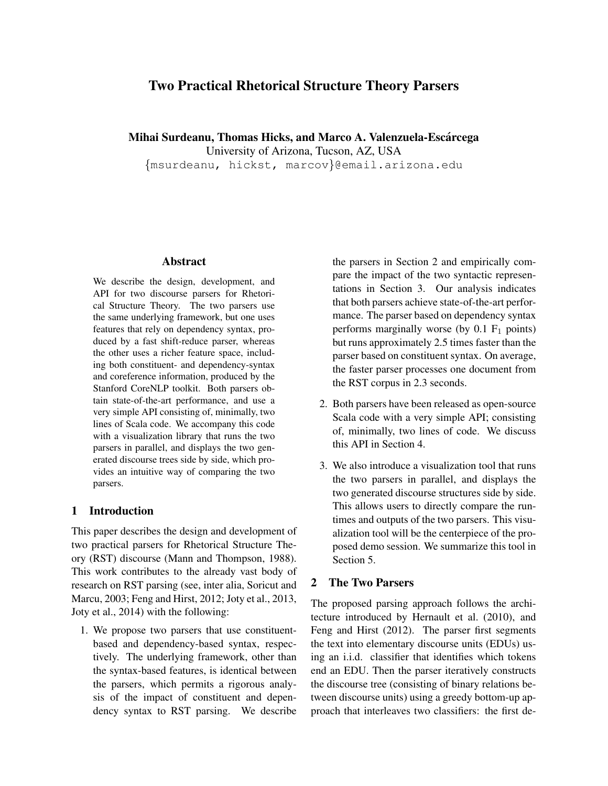# Two Practical Rhetorical Structure Theory Parsers

Mihai Surdeanu, Thomas Hicks, and Marco A. Valenzuela-Escarcega ´

University of Arizona, Tucson, AZ, USA

{msurdeanu, hickst, marcov}@email.arizona.edu

#### Abstract

We describe the design, development, and API for two discourse parsers for Rhetorical Structure Theory. The two parsers use the same underlying framework, but one uses features that rely on dependency syntax, produced by a fast shift-reduce parser, whereas the other uses a richer feature space, including both constituent- and dependency-syntax and coreference information, produced by the Stanford CoreNLP toolkit. Both parsers obtain state-of-the-art performance, and use a very simple API consisting of, minimally, two lines of Scala code. We accompany this code with a visualization library that runs the two parsers in parallel, and displays the two generated discourse trees side by side, which provides an intuitive way of comparing the two parsers.

### 1 Introduction

This paper describes the design and development of two practical parsers for Rhetorical Structure Theory (RST) discourse (Mann and Thompson, 1988). This work contributes to the already vast body of research on RST parsing (see, inter alia, Soricut and Marcu, 2003; Feng and Hirst, 2012; Joty et al., 2013, Joty et al., 2014) with the following:

1. We propose two parsers that use constituentbased and dependency-based syntax, respectively. The underlying framework, other than the syntax-based features, is identical between the parsers, which permits a rigorous analysis of the impact of constituent and dependency syntax to RST parsing. We describe the parsers in Section 2 and empirically compare the impact of the two syntactic representations in Section 3. Our analysis indicates that both parsers achieve state-of-the-art performance. The parser based on dependency syntax performs marginally worse (by  $0.1 \text{ F}_1$  points) but runs approximately 2.5 times faster than the parser based on constituent syntax. On average, the faster parser processes one document from the RST corpus in 2.3 seconds.

- 2. Both parsers have been released as open-source Scala code with a very simple API; consisting of, minimally, two lines of code. We discuss this API in Section 4.
- 3. We also introduce a visualization tool that runs the two parsers in parallel, and displays the two generated discourse structures side by side. This allows users to directly compare the runtimes and outputs of the two parsers. This visualization tool will be the centerpiece of the proposed demo session. We summarize this tool in Section 5.

### 2 The Two Parsers

The proposed parsing approach follows the architecture introduced by Hernault et al. (2010), and Feng and Hirst (2012). The parser first segments the text into elementary discourse units (EDUs) using an i.i.d. classifier that identifies which tokens end an EDU. Then the parser iteratively constructs the discourse tree (consisting of binary relations between discourse units) using a greedy bottom-up approach that interleaves two classifiers: the first de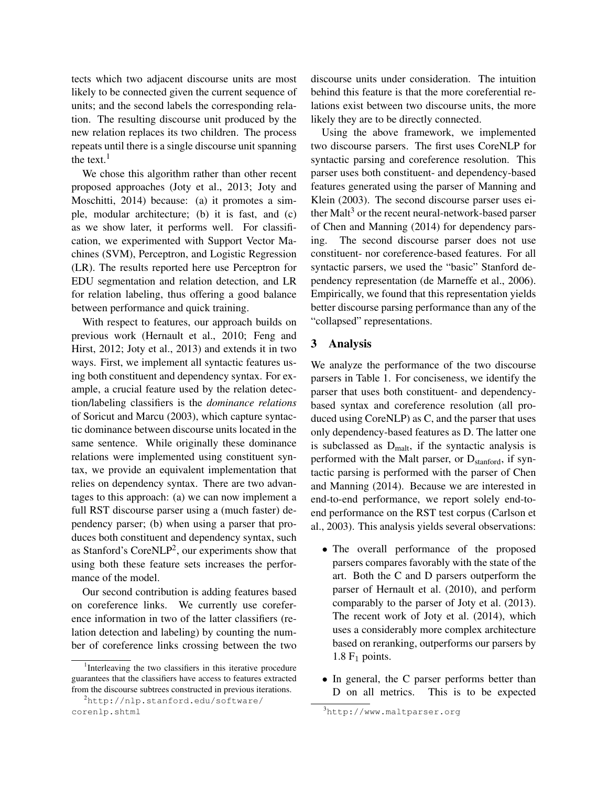tects which two adjacent discourse units are most likely to be connected given the current sequence of units; and the second labels the corresponding relation. The resulting discourse unit produced by the new relation replaces its two children. The process repeats until there is a single discourse unit spanning the text. $<sup>1</sup>$ </sup>

We chose this algorithm rather than other recent proposed approaches (Joty et al., 2013; Joty and Moschitti, 2014) because: (a) it promotes a simple, modular architecture; (b) it is fast, and (c) as we show later, it performs well. For classification, we experimented with Support Vector Machines (SVM), Perceptron, and Logistic Regression (LR). The results reported here use Perceptron for EDU segmentation and relation detection, and LR for relation labeling, thus offering a good balance between performance and quick training.

With respect to features, our approach builds on previous work (Hernault et al., 2010; Feng and Hirst, 2012; Joty et al., 2013) and extends it in two ways. First, we implement all syntactic features using both constituent and dependency syntax. For example, a crucial feature used by the relation detection/labeling classifiers is the *dominance relations* of Soricut and Marcu (2003), which capture syntactic dominance between discourse units located in the same sentence. While originally these dominance relations were implemented using constituent syntax, we provide an equivalent implementation that relies on dependency syntax. There are two advantages to this approach: (a) we can now implement a full RST discourse parser using a (much faster) dependency parser; (b) when using a parser that produces both constituent and dependency syntax, such as Stanford's Core $NLP^2$ , our experiments show that using both these feature sets increases the performance of the model.

Our second contribution is adding features based on coreference links. We currently use coreference information in two of the latter classifiers (relation detection and labeling) by counting the number of coreference links crossing between the two discourse units under consideration. The intuition behind this feature is that the more coreferential relations exist between two discourse units, the more likely they are to be directly connected.

Using the above framework, we implemented two discourse parsers. The first uses CoreNLP for syntactic parsing and coreference resolution. This parser uses both constituent- and dependency-based features generated using the parser of Manning and Klein (2003). The second discourse parser uses either Malt<sup>3</sup> or the recent neural-network-based parser of Chen and Manning (2014) for dependency parsing. The second discourse parser does not use constituent- nor coreference-based features. For all syntactic parsers, we used the "basic" Stanford dependency representation (de Marneffe et al., 2006). Empirically, we found that this representation yields better discourse parsing performance than any of the "collapsed" representations.

#### 3 Analysis

We analyze the performance of the two discourse parsers in Table 1. For conciseness, we identify the parser that uses both constituent- and dependencybased syntax and coreference resolution (all produced using CoreNLP) as C, and the parser that uses only dependency-based features as D. The latter one is subclassed as  $D_{\text{malt}}$ , if the syntactic analysis is performed with the Malt parser, or  $D_{\text{stanford}}$ , if syntactic parsing is performed with the parser of Chen and Manning (2014). Because we are interested in end-to-end performance, we report solely end-toend performance on the RST test corpus (Carlson et al., 2003). This analysis yields several observations:

- The overall performance of the proposed parsers compares favorably with the state of the art. Both the C and D parsers outperform the parser of Hernault et al. (2010), and perform comparably to the parser of Joty et al. (2013). The recent work of Joty et al. (2014), which uses a considerably more complex architecture based on reranking, outperforms our parsers by 1.8  $F_1$  points.
- In general, the C parser performs better than D on all metrics. This is to be expected

<sup>&</sup>lt;sup>1</sup>Interleaving the two classifiers in this iterative procedure guarantees that the classifiers have access to features extracted from the discourse subtrees constructed in previous iterations.

<sup>2</sup>http://nlp.stanford.edu/software/ corenlp.shtml

<sup>3</sup>http://www.maltparser.org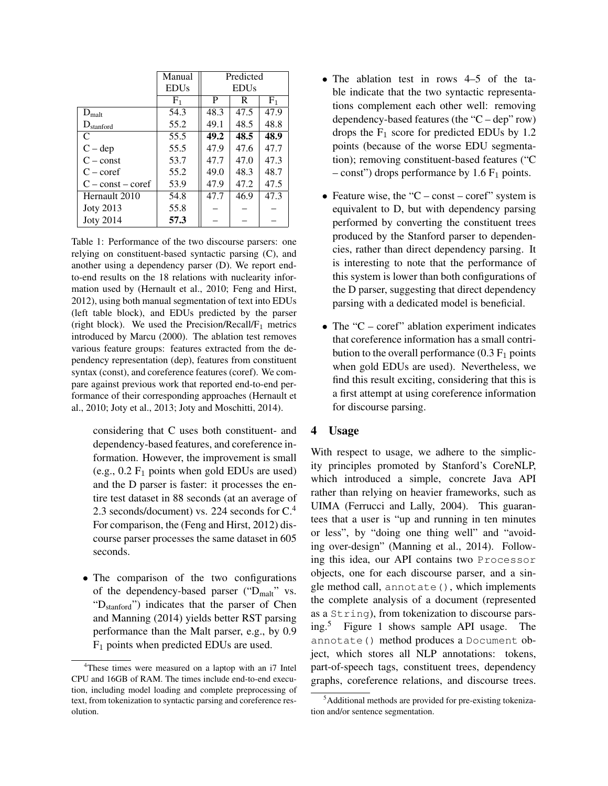|                       | Manual                 | Predicted              |      |                |
|-----------------------|------------------------|------------------------|------|----------------|
|                       | <b>EDU<sub>s</sub></b> | <b>EDU<sub>s</sub></b> |      |                |
|                       | $F_1$                  | P                      | R    | F <sub>1</sub> |
| $D_{\text{malt}}$     | 54.3                   | 48.3                   | 47.5 | 47.9           |
| $D_{\text{standard}}$ | 55.2                   | 49.1                   | 48.5 | 48.8           |
| C                     | 55.5                   | 49.2                   | 48.5 | 48.9           |
| $C - dep$             | 55.5                   | 47.9                   | 47.6 | 47.7           |
| $C$ – const           | 53.7                   | 47.7                   | 47.0 | 47.3           |
| $C$ – coref           | 55.2                   | 49.0                   | 48.3 | 48.7           |
| $C$ – const – coref   | 53.9                   | 47.9                   | 47.2 | 47.5           |
| Hernault 2010         | 54.8                   | 47.7                   | 46.9 | 47.3           |
| <b>Joty 2013</b>      | 55.8                   |                        |      |                |
| <b>Joty 2014</b>      | 57.3                   |                        |      |                |

Table 1: Performance of the two discourse parsers: one relying on constituent-based syntactic parsing (C), and another using a dependency parser (D). We report endto-end results on the 18 relations with nuclearity information used by (Hernault et al., 2010; Feng and Hirst, 2012), using both manual segmentation of text into EDUs (left table block), and EDUs predicted by the parser (right block). We used the Precision/Recall/ $F_1$  metrics introduced by Marcu (2000). The ablation test removes various feature groups: features extracted from the dependency representation (dep), features from constituent syntax (const), and coreference features (coref). We compare against previous work that reported end-to-end performance of their corresponding approaches (Hernault et al., 2010; Joty et al., 2013; Joty and Moschitti, 2014).

considering that C uses both constituent- and dependency-based features, and coreference information. However, the improvement is small (e.g.,  $0.2 \text{ F}_1$  points when gold EDUs are used) and the D parser is faster: it processes the entire test dataset in 88 seconds (at an average of 2.3 seconds/document) vs. 224 seconds for  $C<sup>4</sup>$ For comparison, the (Feng and Hirst, 2012) discourse parser processes the same dataset in 605 seconds.

• The comparison of the two configurations of the dependency-based parser ("D<sub>malt</sub>" vs. "Dstanford") indicates that the parser of Chen and Manning (2014) yields better RST parsing performance than the Malt parser, e.g., by 0.9  $F_1$  points when predicted EDUs are used.

- The ablation test in rows 4–5 of the table indicate that the two syntactic representations complement each other well: removing dependency-based features (the "C – dep" row) drops the  $F_1$  score for predicted EDUs by 1.2 points (because of the worse EDU segmentation); removing constituent-based features ("C – const") drops performance by 1.6  $F_1$  points.
- Feature wise, the "C const coref" system is equivalent to D, but with dependency parsing performed by converting the constituent trees produced by the Stanford parser to dependencies, rather than direct dependency parsing. It is interesting to note that the performance of this system is lower than both configurations of the D parser, suggesting that direct dependency parsing with a dedicated model is beneficial.
- The "C coref" ablation experiment indicates that coreference information has a small contribution to the overall performance  $(0.3 F<sub>1</sub>$  points when gold EDUs are used). Nevertheless, we find this result exciting, considering that this is a first attempt at using coreference information for discourse parsing.

## 4 Usage

With respect to usage, we adhere to the simplicity principles promoted by Stanford's CoreNLP, which introduced a simple, concrete Java API rather than relying on heavier frameworks, such as UIMA (Ferrucci and Lally, 2004). This guarantees that a user is "up and running in ten minutes or less", by "doing one thing well" and "avoiding over-design" (Manning et al., 2014). Following this idea, our API contains two Processor objects, one for each discourse parser, and a single method call, annotate(), which implements the complete analysis of a document (represented as a String), from tokenization to discourse parsing.<sup>5</sup> Figure 1 shows sample API usage. The annotate() method produces a Document object, which stores all NLP annotations: tokens, part-of-speech tags, constituent trees, dependency graphs, coreference relations, and discourse trees.

<sup>&</sup>lt;sup>4</sup>These times were measured on a laptop with an i7 Intel CPU and 16GB of RAM. The times include end-to-end execution, including model loading and complete preprocessing of text, from tokenization to syntactic parsing and coreference resolution.

<sup>5</sup>Additional methods are provided for pre-existing tokenization and/or sentence segmentation.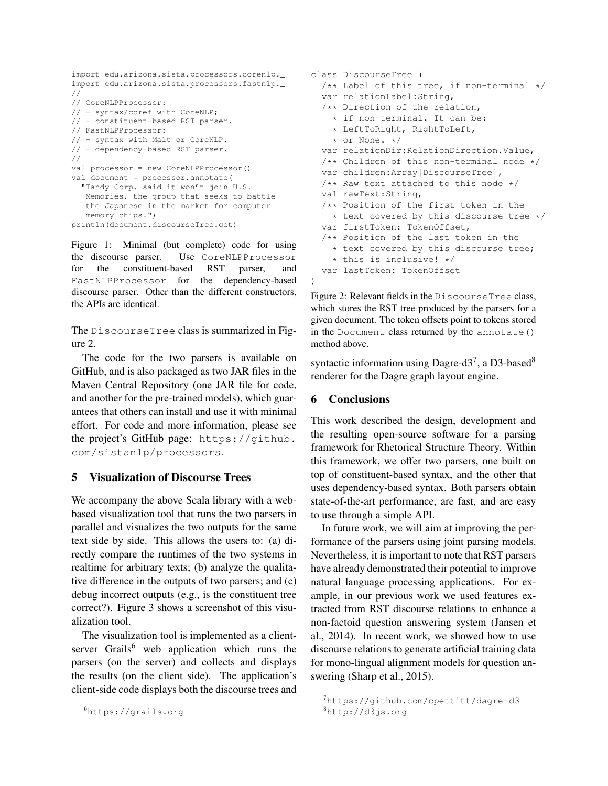```
import edu.arizona.sista.processors.corenlp._
import edu.arizona.sista.processors.fastnlp._
//
// CoreNLPProcessor:
// - syntax/coref with CoreNLP;
// - constituent-based RST parser.
// FastNLPProcessor:
// - syntax with Malt or CoreNLP.
// - dependency-based RST parser.
//
val processor = new CoreNLPProcessor()
val document = processor.annotate(
  "Tandy Corp. said it won't join U.S.
  Memories, the group that seeks to battle
  the Japanese in the market for computer
  memory chips.")
println(document.discourseTree.get)
```
Figure 1: Minimal (but complete) code for using the discourse parser. Use CoreNLPProcessor for the constituent-based RST parser, and FastNLPProcessor for the dependency-based discourse parser. Other than the different constructors, the APIs are identical.

The DiscourseTree class is summarized in Figure 2.

The code for the two parsers is available on GitHub, and is also packaged as two JAR files in the Maven Central Repository (one JAR file for code, and another for the pre-trained models), which guarantees that others can install and use it with minimal effort. For code and more information, please see the project's GitHub page: https://github. com/sistanlp/processors.

### 5 Visualization of Discourse Trees

We accompany the above Scala library with a webbased visualization tool that runs the two parsers in parallel and visualizes the two outputs for the same text side by side. This allows the users to: (a) directly compare the runtimes of the two systems in realtime for arbitrary texts; (b) analyze the qualitative difference in the outputs of two parsers; and (c) debug incorrect outputs (e.g., is the constituent tree correct?). Figure 3 shows a screenshot of this visualization tool.

The visualization tool is implemented as a clientserver Grails<sup>6</sup> web application which runs the parsers (on the server) and collects and displays the results (on the client side). The application's client-side code displays both the discourse trees and

```
class DiscourseTree (
 /** Label of this tree, if non-terminal */
 var relationLabel:String,
  /** Direction of the relation,
    * if non-terminal. It can be:
    * LeftToRight, RightToLeft,
   * or None. */
 var relationDir:RelationDirection.Value,
  /** Children of this non-terminal node */
 var children:Array[DiscourseTree],
 /** Raw text attached to this node */val rawText:String,
  /** Position of the first token in the
   * text covered by this discourse tree */
  var firstToken: TokenOffset,
  /** Position of the last token in the
    * text covered by this discourse tree;
    * this is inclusive! */
  var lastToken: TokenOffset
)
```
Figure 2: Relevant fields in the DiscourseTree class, which stores the RST tree produced by the parsers for a given document. The token offsets point to tokens stored in the Document class returned by the annotate() method above.

syntactic information using Dagre-d3<sup>7</sup>, a D3-based<sup>8</sup> renderer for the Dagre graph layout engine.

# 6 Conclusions

This work described the design, development and the resulting open-source software for a parsing framework for Rhetorical Structure Theory. Within this framework, we offer two parsers, one built on top of constituent-based syntax, and the other that uses dependency-based syntax. Both parsers obtain state-of-the-art performance, are fast, and are easy to use through a simple API.

In future work, we will aim at improving the performance of the parsers using joint parsing models. Nevertheless, it is important to note that RST parsers have already demonstrated their potential to improve natural language processing applications. For example, in our previous work we used features extracted from RST discourse relations to enhance a non-factoid question answering system (Jansen et al., 2014). In recent work, we showed how to use discourse relations to generate artificial training data for mono-lingual alignment models for question answering (Sharp et al., 2015).

<sup>6</sup>https://grails.org

<sup>&</sup>lt;sup>7</sup>https://github.com/cpettitt/dagre-d3 <sup>8</sup>http://d3js.org